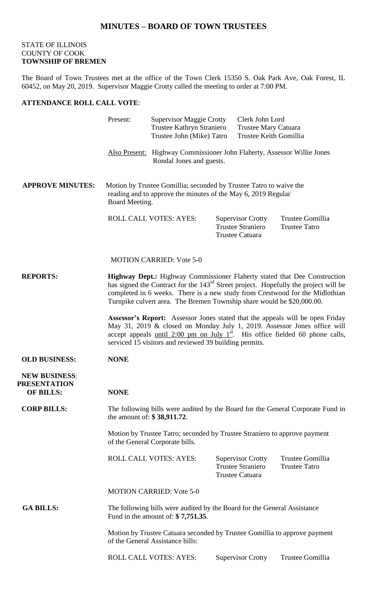## **MINUTES – BOARD OF TOWN TRUSTEES**

## STATE OF ILLINOIS COUNTY OF COOK **TOWNSHIP OF BREMEN**

The Board of Town Trustees met at the office of the Town Clerk 15350 S. Oak Park Ave, Oak Forest, IL 60452, on May 20, 2019. Supervisor Maggie Crotty called the meeting to order at 7:00 PM.

## **ATTENDANCE ROLL CALL VOTE**:

|                                                                                                                                        | Present:                                                                                                                                                                                                                                                                                                                               | <b>Supervisor Maggie Crotty</b><br>Trustee Kathryn Straniero<br>Trustee John (Mike) Tatro           |  | Clerk John Lord<br>Trustee Mary Catuara<br>Trustee Keith Gomillia              |                                          |
|----------------------------------------------------------------------------------------------------------------------------------------|----------------------------------------------------------------------------------------------------------------------------------------------------------------------------------------------------------------------------------------------------------------------------------------------------------------------------------------|-----------------------------------------------------------------------------------------------------|--|--------------------------------------------------------------------------------|------------------------------------------|
|                                                                                                                                        |                                                                                                                                                                                                                                                                                                                                        | Also Present: Highway Commissioner John Flaherty, Assessor Willie Jones<br>Rondal Jones and guests. |  |                                                                                |                                          |
| <b>APPROVE MINUTES:</b>                                                                                                                | Motion by Trustee Gomillia; seconded by Trustee Tatro to waive the<br>reading and to approve the minutes of the May 6, 2019 Regular<br>Board Meeting.                                                                                                                                                                                  |                                                                                                     |  |                                                                                |                                          |
|                                                                                                                                        |                                                                                                                                                                                                                                                                                                                                        | ROLL CALL VOTES: AYES:                                                                              |  | <b>Supervisor Crotty</b><br><b>Trustee Straniero</b><br><b>Trustee Catuara</b> | Trustee Gomillia<br><b>Trustee Tatro</b> |
|                                                                                                                                        | <b>MOTION CARRIED: Vote 5-0</b>                                                                                                                                                                                                                                                                                                        |                                                                                                     |  |                                                                                |                                          |
| <b>REPORTS:</b>                                                                                                                        | Highway Dept.: Highway Commissioner Flaherty stated that Dee Construction<br>has signed the Contract for the 143 <sup>rd</sup> Street project. Hopefully the project will be<br>completed in 6 weeks. There is a new study from Crestwood for the Midlothian<br>Turnpike culvert area. The Bremen Township share would be \$20,000.00. |                                                                                                     |  |                                                                                |                                          |
|                                                                                                                                        | <b>Assessor's Report:</b> Assessor Jones stated that the appeals will be open Friday<br>May 31, 2019 & closed on Monday July 1, 2019. Assessor Jones office will<br>accept appeals until 2:00 pm on July $1st$ . His office fielded 60 phone calls,<br>serviced 15 visitors and reviewed 39 building permits.                          |                                                                                                     |  |                                                                                |                                          |
| <b>OLD BUSINESS:</b>                                                                                                                   | <b>NONE</b>                                                                                                                                                                                                                                                                                                                            |                                                                                                     |  |                                                                                |                                          |
| <b>NEW BUSINESS:</b><br><b>PRESENTATION</b><br><b>OF BILLS:</b>                                                                        | <b>NONE</b>                                                                                                                                                                                                                                                                                                                            |                                                                                                     |  |                                                                                |                                          |
| <b>CORP BILLS:</b><br>The following bills were audited by the Board for the General Corporate Fund in<br>the amount of: $$38,911.72$ . |                                                                                                                                                                                                                                                                                                                                        |                                                                                                     |  |                                                                                |                                          |
|                                                                                                                                        | Motion by Trustee Tatro; seconded by Trustee Straniero to approve payment<br>of the General Corporate bills.                                                                                                                                                                                                                           |                                                                                                     |  |                                                                                |                                          |
|                                                                                                                                        |                                                                                                                                                                                                                                                                                                                                        | <b>ROLL CALL VOTES: AYES:</b>                                                                       |  | <b>Supervisor Crotty</b><br><b>Trustee Straniero</b><br><b>Trustee Catuara</b> | Trustee Gomillia<br><b>Trustee Tatro</b> |
|                                                                                                                                        | <b>MOTION CARRIED: Vote 5-0</b>                                                                                                                                                                                                                                                                                                        |                                                                                                     |  |                                                                                |                                          |
| <b>GA BILLS:</b>                                                                                                                       | The following bills were audited by the Board for the General Assistance<br>Fund in the amount of: $$7,751.35$ .                                                                                                                                                                                                                       |                                                                                                     |  |                                                                                |                                          |
|                                                                                                                                        | Motion by Trustee Catuara seconded by Trustee Gomillia to approve payment<br>of the General Assistance bills:                                                                                                                                                                                                                          |                                                                                                     |  |                                                                                |                                          |
|                                                                                                                                        |                                                                                                                                                                                                                                                                                                                                        | ROLL CALL VOTES: AYES:                                                                              |  | <b>Supervisor Crotty</b>                                                       | Trustee Gomillia                         |